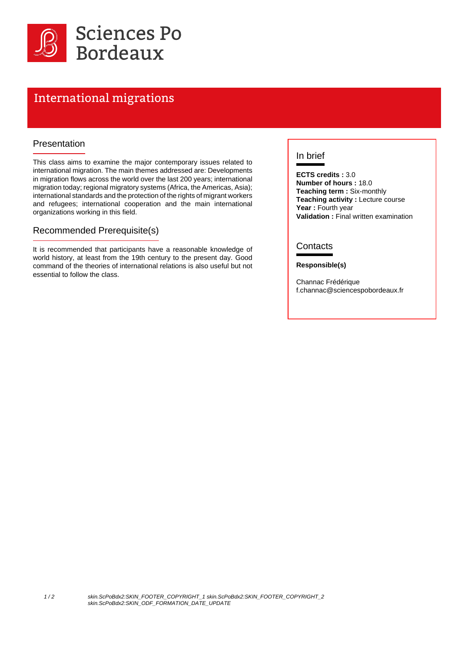

# International migrations

#### Presentation

This class aims to examine the major contemporary issues related to international migration. The main themes addressed are: Developments in migration flows across the world over the last 200 years; international migration today; regional migratory systems (Africa, the Americas, Asia); international standards and the protection of the rights of migrant workers and refugees; international cooperation and the main international organizations working in this field.

#### Recommended Prerequisite(s)

It is recommended that participants have a reasonable knowledge of world history, at least from the 19th century to the present day. Good command of the theories of international relations is also useful but not essential to follow the class.

### In brief

**ECTS credits :** 3.0 **Number of hours :** 18.0 **Teaching term :** Six-monthly **Teaching activity : Lecture course** Year : Fourth year **Validation :** Final written examination

#### **Contacts**

#### **Responsible(s)**

Channac Frédérique f.channac@sciencespobordeaux.fr